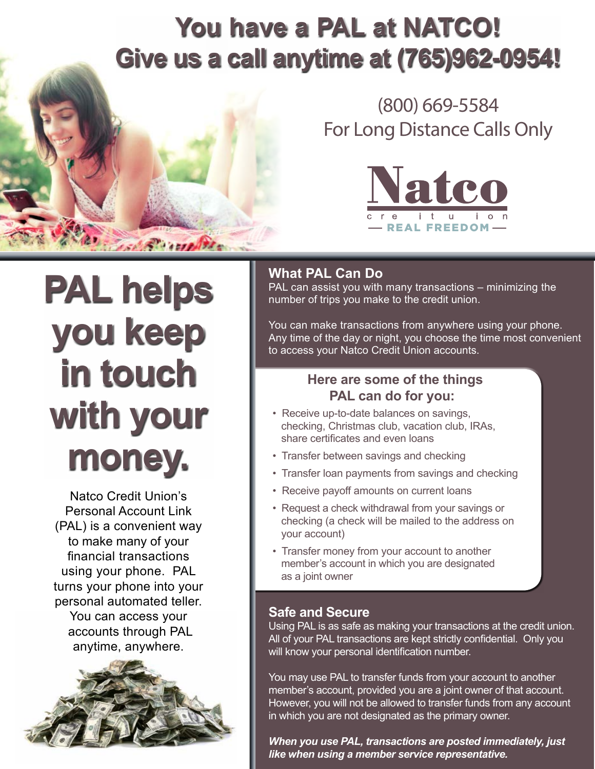# **You have a PAL at NATCO! Give us a call anytime at (765)962-0954!**



## (800) 669-5584 For Long Distance Calls Only



# **PAL helps you keep in touch with your money.**

Natco Credit Union's Personal Account Link (PAL) is a convenient way to make many of your financial transactions using your phone. PAL turns your phone into your personal automated teller. You can access your accounts through PAL anytime, anywhere.



## **What PAL Can Do**

PAL can assist you with many transactions – minimizing the number of trips you make to the credit union.

You can make transactions from anywhere using your phone. Any time of the day or night, you choose the time most convenient to access your Natco Credit Union accounts.

### **Here are some of the things PAL can do for you:**

- Receive up-to-date balances on savings, checking, Christmas club, vacation club, IRAs, share certificates and even loans
- Transfer between savings and checking
- Transfer loan payments from savings and checking
- Receive payoff amounts on current loans
- Request a check withdrawal from your savings or checking (a check will be mailed to the address on your account)
- Transfer money from your account to another member's account in which you are designated as a joint owner

#### **Safe and Secure**

Using PAL is as safe as making your transactions at the credit union. All of your PAL transactions are kept strictly confidential. Only you will know your personal identification number.

You may use PAL to transfer funds from your account to another member's account, provided you are a joint owner of that account. However, you will not be allowed to transfer funds from any account in which you are not designated as the primary owner.

*When you use PAL, transactions are posted immediately, just like when using a member service representative.*